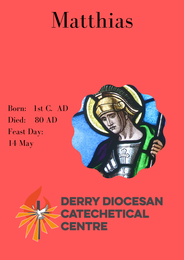## Matthias

Born: 1st C. AD Died: 80 AD Feast Day: 14 May